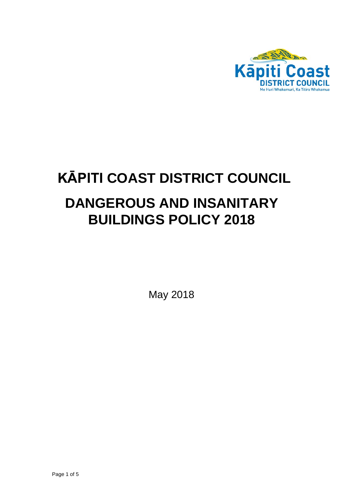

# **KĀPITI COAST DISTRICT COUNCIL DANGEROUS AND INSANITARY BUILDINGS POLICY 2018**

May 2018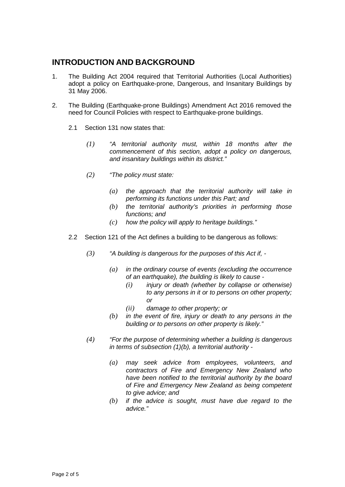# **INTRODUCTION AND BACKGROUND**

- 1. The Building Act 2004 required that Territorial Authorities (Local Authorities) adopt a policy on Earthquake-prone, Dangerous, and Insanitary Buildings by 31 May 2006.
- 2. The Building (Earthquake-prone Buildings) Amendment Act 2016 removed the need for Council Policies with respect to Earthquake-prone buildings.
	- 2.1 Section 131 now states that:
		- *(1) "A territorial authority must, within 18 months after the commencement of this section, adopt a policy on dangerous, and insanitary buildings within its district."*
		- *(2) "The policy must state:*
			- *(a) the approach that the territorial authority will take in performing its functions under this Part; and*
			- *(b) the territorial authority's priorities in performing those functions; and*
			- *(c) how the policy will apply to heritage buildings."*
	- 2.2 Section 121 of the Act defines a building to be dangerous as follows:
		- *(3) "A building is dangerous for the purposes of this Act if, -*
			- *(a) in the ordinary course of events (excluding the occurrence of an earthquake), the building is likely to cause -*
				- *(i) injury or death (whether by collapse or otherwise) to any persons in it or to persons on other property; or*
				- *(ii) damage to other property; or*
			- *(b) in the event of fire, injury or death to any persons in the building or to persons on other property is likely."*
		- *(4) "For the purpose of determining whether a building is dangerous in terms of subsection (1)(b), a territorial authority -*
			- *(a) may seek advice from employees, volunteers, and contractors of Fire and Emergency New Zealand who have been notified to the territorial authority by the board of Fire and Emergency New Zealand as being competent to give advice; and*
			- *(b) if the advice is sought, must have due regard to the advice."*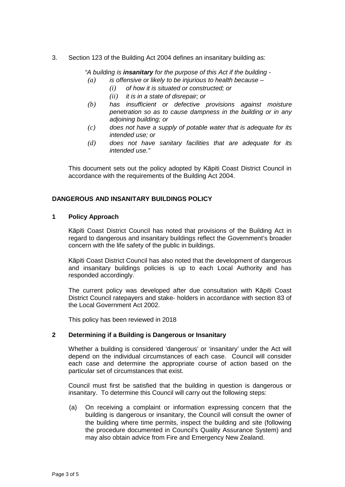3. Section 123 of the Building Act 2004 defines an insanitary building as:

*"A building is insanitary for the purpose of this Act if the building - (a) is offensive or likely to be injurious to health because –*

- *(i) of how it is situated or constructed; or* 
	- *(ii) it is in a state of disrepair; or*
- *(b) has insufficient or defective provisions against moisture penetration so as to cause dampness in the building or in any adjoining building; or*
- *(c) does not have a supply of potable water that is adequate for its intended use; or*
- *(d) does not have sanitary facilities that are adequate for its intended use."*

This document sets out the policy adopted by Kāpiti Coast District Council in accordance with the requirements of the Building Act 2004.

# **DANGEROUS AND INSANITARY BUILDINGS POLICY**

#### **1 Policy Approach**

Kāpiti Coast District Council has noted that provisions of the Building Act in regard to dangerous and insanitary buildings reflect the Government's broader concern with the life safety of the public in buildings.

Kāpiti Coast District Council has also noted that the development of dangerous and insanitary buildings policies is up to each Local Authority and has responded accordingly.

The current policy was developed after due consultation with Kāpiti Coast District Council ratepayers and stake- holders in accordance with section 83 of the Local Government Act 2002.

This policy has been reviewed in 2018

#### **2 Determining if a Building is Dangerous or Insanitary**

Whether a building is considered 'dangerous' or 'insanitary' under the Act will depend on the individual circumstances of each case. Council will consider each case and determine the appropriate course of action based on the particular set of circumstances that exist.

Council must first be satisfied that the building in question is dangerous or insanitary. To determine this Council will carry out the following steps:

(a) On receiving a complaint or information expressing concern that the building is dangerous or insanitary, the Council will consult the owner of the building where time permits, inspect the building and site (following the procedure documented in Council's Quality Assurance System) and may also obtain advice from Fire and Emergency New Zealand.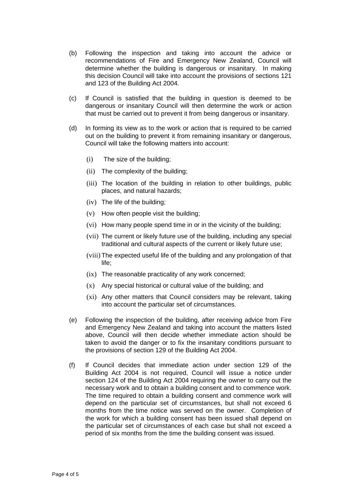- (b) Following the inspection and taking into account the advice or recommendations of Fire and Emergency New Zealand, Council will determine whether the building is dangerous or insanitary. In making this decision Council will take into account the provisions of sections 121 and 123 of the Building Act 2004.
- (c) If Council is satisfied that the building in question is deemed to be dangerous or insanitary Council will then determine the work or action that must be carried out to prevent it from being dangerous or insanitary.
- (d) In forming its view as to the work or action that is required to be carried out on the building to prevent it from remaining insanitary or dangerous, Council will take the following matters into account:
	- (i) The size of the building;
	- (ii) The complexity of the building;
	- (iii) The location of the building in relation to other buildings, public places, and natural hazards;
	- (iv) The life of the building;
	- (v) How often people visit the building;
	- (vi) How many people spend time in or in the vicinity of the building;
	- (vii) The current or likely future use of the building, including any special traditional and cultural aspects of the current or likely future use;
	- (viii) The expected useful life of the building and any prolongation of that life;
	- (ix) The reasonable practicality of any work concerned;
	- (x) Any special historical or cultural value of the building; and
	- (xi) Any other matters that Council considers may be relevant, taking into account the particular set of circumstances.
- (e) Following the inspection of the building, after receiving advice from Fire and Emergency New Zealand and taking into account the matters listed above, Council will then decide whether immediate action should be taken to avoid the danger or to fix the insanitary conditions pursuant to the provisions of section 129 of the Building Act 2004.
- (f) If Council decides that immediate action under section 129 of the Building Act 2004 is not required, Council will issue a notice under section 124 of the Building Act 2004 requiring the owner to carry out the necessary work and to obtain a building consent and to commence work. The time required to obtain a building consent and commence work will depend on the particular set of circumstances, but shall not exceed 6 months from the time notice was served on the owner. Completion of the work for which a building consent has been issued shall depend on the particular set of circumstances of each case but shall not exceed a period of six months from the time the building consent was issued.